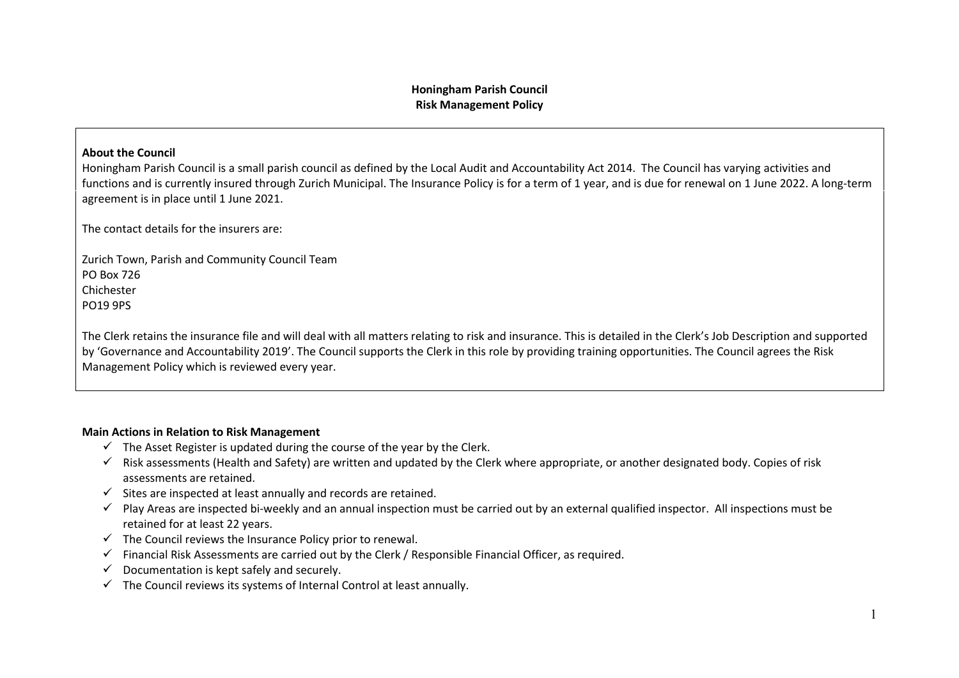### **Honingham Parish Council Risk Management Policy**

#### **About the Council**

Honingham Parish Council is a small parish council as defined by the Local Audit and Accountability Act 2014. The Council has varying activities and functions and is currently insured through Zurich Municipal. The Insurance Policy is for a term of 1 year, and is due for renewal on 1 June 2022. A long-term agreement is in place until 1 June 2021.

The contact details for the insurers are:

Zurich Town, Parish and Community Council Team PO Box 726 Chichester PO19 9PS

The Clerk retains the insurance file and will deal with all matters relating to risk and insurance. This is detailed in the Clerk's Job Description and supported by 'Governance and Accountability 2019'. The Council supports the Clerk in this role by providing training opportunities. The Council agrees the Risk Management Policy which is reviewed every year.

#### **Main Actions in Relation to Risk Management**

- $\checkmark$  The Asset Register is updated during the course of the year by the Clerk.
- $\checkmark$  Risk assessments (Health and Safety) are written and updated by the Clerk where appropriate, or another designated body. Copies of risk assessments are retained.
- $\checkmark$  Sites are inspected at least annually and records are retained.
- $\checkmark$  Play Areas are inspected bi-weekly and an annual inspection must be carried out by an external qualified inspector. All inspections must be retained for at least 22 years.
- $\checkmark$  The Council reviews the Insurance Policy prior to renewal.
- $\checkmark$  Financial Risk Assessments are carried out by the Clerk / Responsible Financial Officer, as required.
- $\checkmark$  Documentation is kept safely and securely.
- $\checkmark$  The Council reviews its systems of Internal Control at least annually.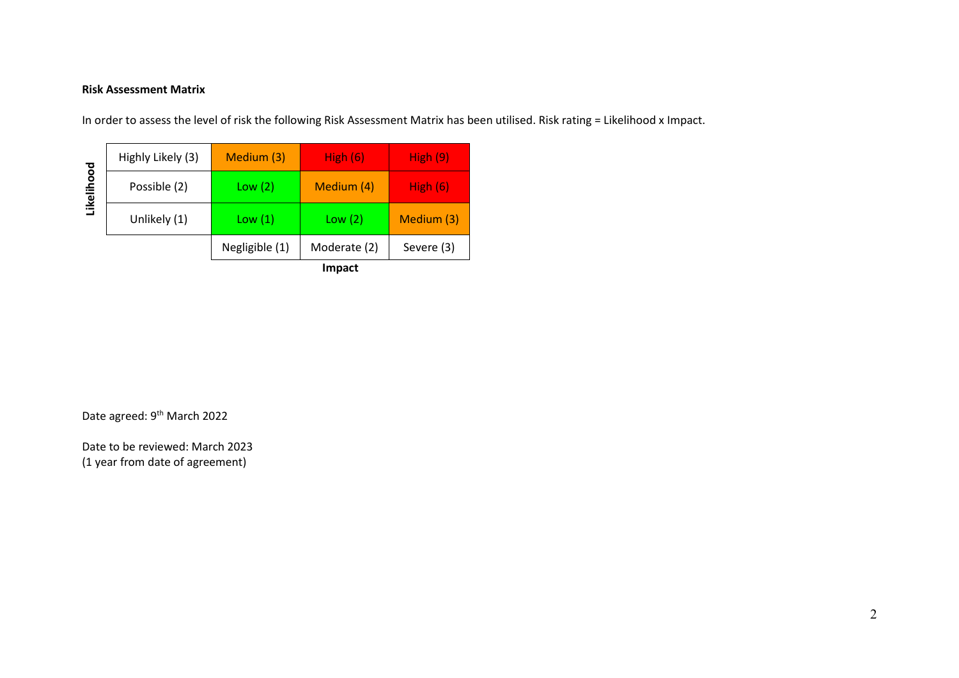## **Risk Assessment Matrix**

In order to assess the level of risk the following Risk Assessment Matrix has been utilised. Risk rating = Likelihood x Impact.

|            |                   |                | <b>Impact</b> |            |
|------------|-------------------|----------------|---------------|------------|
|            |                   | Negligible (1) | Moderate (2)  | Severe (3) |
| Likelihood | Unlikely (1)      | Low(1)         | Low(2)        | Medium (3) |
|            | Possible (2)      | Low(2)         | Medium (4)    | High $(6)$ |
|            | Highly Likely (3) | Medium (3)     | High $(6)$    | High(9)    |

Date agreed: 9<sup>th</sup> March 2022

Date to be reviewed: March 2023 (1 year from date of agreement)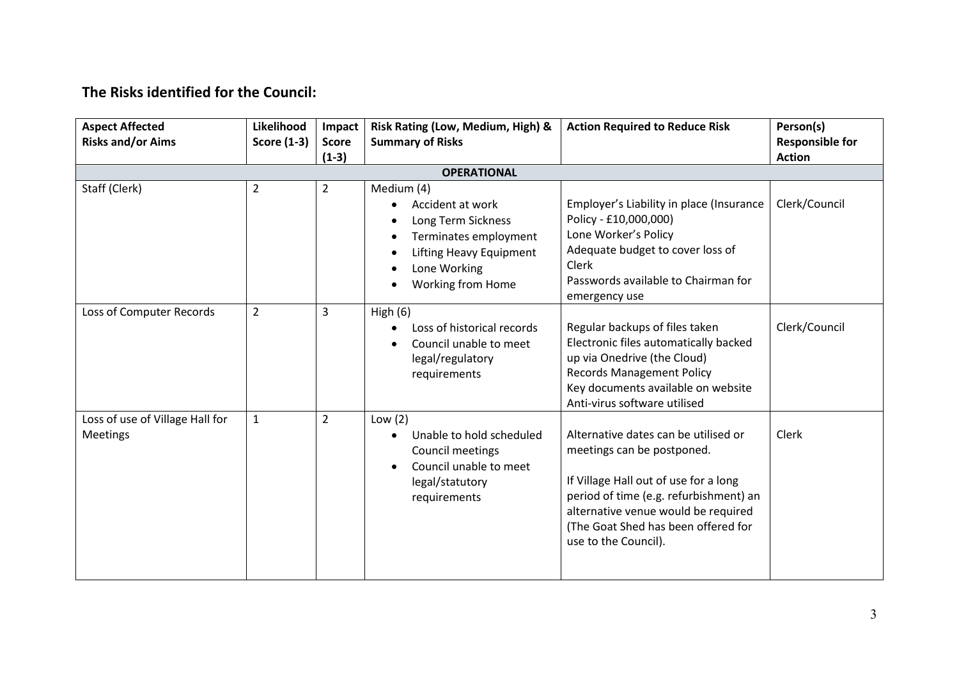# **The Risks identified for the Council:**

| <b>Aspect Affected</b><br><b>Risks and/or Aims</b> | Likelihood<br><b>Score (1-3)</b> | Impact<br><b>Score</b><br>$(1-3)$ | Risk Rating (Low, Medium, High) &<br><b>Summary of Risks</b>                                                                                                                                | <b>Action Required to Reduce Risk</b>                                                                                                                                                                                                                       | Person(s)<br><b>Responsible for</b><br><b>Action</b> |
|----------------------------------------------------|----------------------------------|-----------------------------------|---------------------------------------------------------------------------------------------------------------------------------------------------------------------------------------------|-------------------------------------------------------------------------------------------------------------------------------------------------------------------------------------------------------------------------------------------------------------|------------------------------------------------------|
|                                                    |                                  |                                   | <b>OPERATIONAL</b>                                                                                                                                                                          |                                                                                                                                                                                                                                                             |                                                      |
| Staff (Clerk)                                      | $\overline{2}$                   | $\overline{2}$                    | Medium (4)<br>Accident at work<br>$\bullet$<br>Long Term Sickness<br>Terminates employment<br>$\bullet$<br><b>Lifting Heavy Equipment</b><br>$\bullet$<br>Lone Working<br>Working from Home | Employer's Liability in place (Insurance<br>Policy - £10,000,000)<br>Lone Worker's Policy<br>Adequate budget to cover loss of<br>Clerk<br>Passwords available to Chairman for<br>emergency use                                                              | Clerk/Council                                        |
| Loss of Computer Records                           | $\overline{2}$                   | 3                                 | High $(6)$<br>Loss of historical records<br>$\bullet$<br>Council unable to meet<br>legal/regulatory<br>requirements                                                                         | Regular backups of files taken<br>Electronic files automatically backed<br>up via Onedrive (the Cloud)<br><b>Records Management Policy</b><br>Key documents available on website<br>Anti-virus software utilised                                            | Clerk/Council                                        |
| Loss of use of Village Hall for<br><b>Meetings</b> | $\mathbf{1}$                     | $\overline{2}$                    | Low $(2)$<br>Unable to hold scheduled<br>$\bullet$<br>Council meetings<br>Council unable to meet<br>legal/statutory<br>requirements                                                         | Alternative dates can be utilised or<br>meetings can be postponed.<br>If Village Hall out of use for a long<br>period of time (e.g. refurbishment) an<br>alternative venue would be required<br>(The Goat Shed has been offered for<br>use to the Council). | <b>Clerk</b>                                         |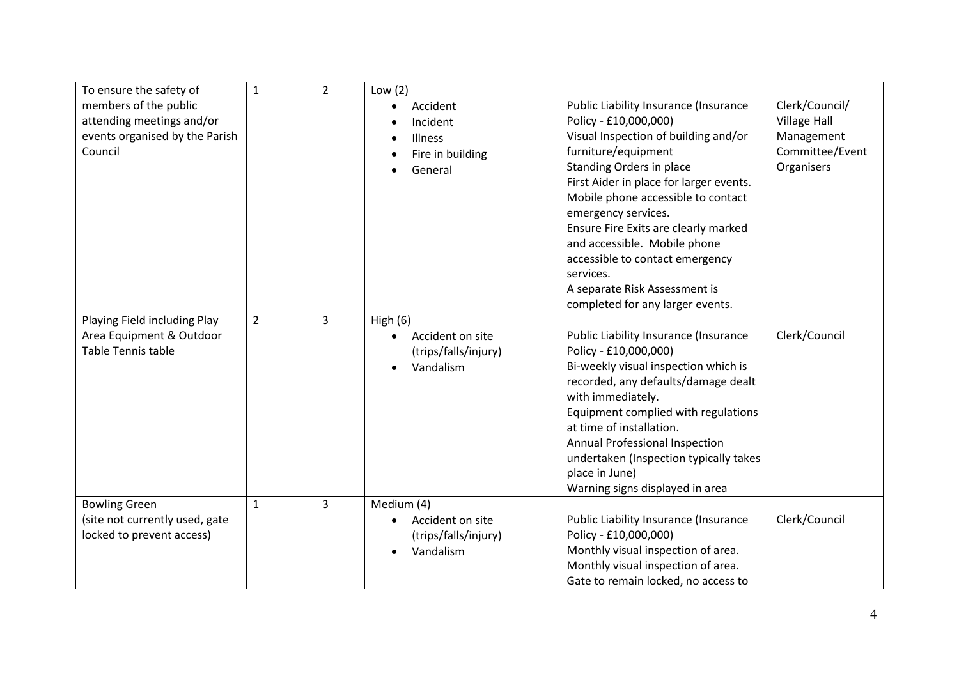| To ensure the safety of        | $\mathbf{1}$   | $\overline{2}$ | Low $(2)$            |                                         |                     |
|--------------------------------|----------------|----------------|----------------------|-----------------------------------------|---------------------|
| members of the public          |                |                | Accident             | Public Liability Insurance (Insurance   | Clerk/Council/      |
| attending meetings and/or      |                |                | Incident             | Policy - £10,000,000)                   | <b>Village Hall</b> |
| events organised by the Parish |                |                | Illness              | Visual Inspection of building and/or    | Management          |
| Council                        |                |                | Fire in building     | furniture/equipment                     | Committee/Event     |
|                                |                |                | General              | Standing Orders in place                | Organisers          |
|                                |                |                |                      | First Aider in place for larger events. |                     |
|                                |                |                |                      | Mobile phone accessible to contact      |                     |
|                                |                |                |                      | emergency services.                     |                     |
|                                |                |                |                      | Ensure Fire Exits are clearly marked    |                     |
|                                |                |                |                      | and accessible. Mobile phone            |                     |
|                                |                |                |                      | accessible to contact emergency         |                     |
|                                |                |                |                      | services.                               |                     |
|                                |                |                |                      | A separate Risk Assessment is           |                     |
|                                |                |                |                      | completed for any larger events.        |                     |
| Playing Field including Play   | $\overline{2}$ | 3              | High $(6)$           |                                         |                     |
| Area Equipment & Outdoor       |                |                | Accident on site     | Public Liability Insurance (Insurance   | Clerk/Council       |
| Table Tennis table             |                |                | (trips/falls/injury) | Policy - £10,000,000)                   |                     |
|                                |                |                | Vandalism            | Bi-weekly visual inspection which is    |                     |
|                                |                |                |                      | recorded, any defaults/damage dealt     |                     |
|                                |                |                |                      | with immediately.                       |                     |
|                                |                |                |                      | Equipment complied with regulations     |                     |
|                                |                |                |                      | at time of installation.                |                     |
|                                |                |                |                      | Annual Professional Inspection          |                     |
|                                |                |                |                      | undertaken (Inspection typically takes  |                     |
|                                |                |                |                      | place in June)                          |                     |
|                                |                |                |                      | Warning signs displayed in area         |                     |
| <b>Bowling Green</b>           | $\mathbf{1}$   | 3              | Medium (4)           |                                         |                     |
| (site not currently used, gate |                |                | Accident on site     | Public Liability Insurance (Insurance   | Clerk/Council       |
| locked to prevent access)      |                |                | (trips/falls/injury) | Policy - £10,000,000)                   |                     |
|                                |                |                | Vandalism            | Monthly visual inspection of area.      |                     |
|                                |                |                |                      | Monthly visual inspection of area.      |                     |
|                                |                |                |                      | Gate to remain locked, no access to     |                     |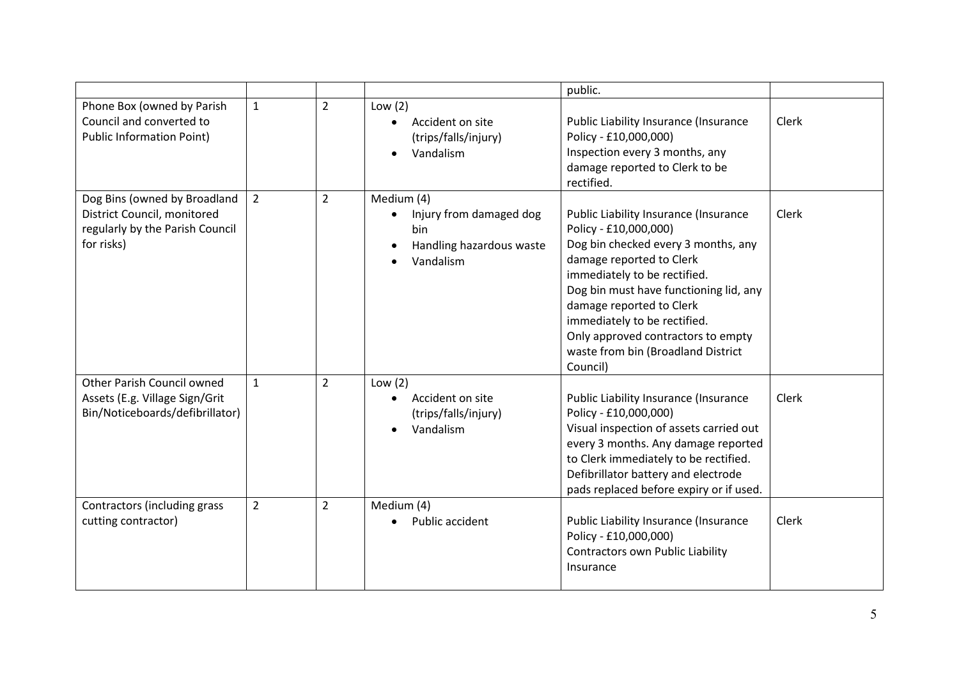|                                                                                                              |                |                |                                                                                                    | public.                                                                                                                                                                                                                                                                                                                                                         |              |
|--------------------------------------------------------------------------------------------------------------|----------------|----------------|----------------------------------------------------------------------------------------------------|-----------------------------------------------------------------------------------------------------------------------------------------------------------------------------------------------------------------------------------------------------------------------------------------------------------------------------------------------------------------|--------------|
| Phone Box (owned by Parish<br>Council and converted to<br><b>Public Information Point)</b>                   | $\mathbf{1}$   | $\overline{2}$ | Low $(2)$<br>Accident on site<br>$\bullet$<br>(trips/falls/injury)<br>Vandalism                    | Public Liability Insurance (Insurance<br>Policy - £10,000,000)<br>Inspection every 3 months, any<br>damage reported to Clerk to be<br>rectified.                                                                                                                                                                                                                | Clerk        |
| Dog Bins (owned by Broadland<br>District Council, monitored<br>regularly by the Parish Council<br>for risks) | $\overline{2}$ | $\overline{2}$ | Medium (4)<br>Injury from damaged dog<br>$\bullet$<br>bin<br>Handling hazardous waste<br>Vandalism | Public Liability Insurance (Insurance<br>Policy - £10,000,000)<br>Dog bin checked every 3 months, any<br>damage reported to Clerk<br>immediately to be rectified.<br>Dog bin must have functioning lid, any<br>damage reported to Clerk<br>immediately to be rectified.<br>Only approved contractors to empty<br>waste from bin (Broadland District<br>Council) | Clerk        |
| Other Parish Council owned<br>Assets (E.g. Village Sign/Grit<br>Bin/Noticeboards/defibrillator)              | $\mathbf{1}$   | $\overline{2}$ | Low $(2)$<br>Accident on site<br>$\bullet$<br>(trips/falls/injury)<br>Vandalism                    | Public Liability Insurance (Insurance<br>Policy - £10,000,000)<br>Visual inspection of assets carried out<br>every 3 months. Any damage reported<br>to Clerk immediately to be rectified.<br>Defibrillator battery and electrode<br>pads replaced before expiry or if used.                                                                                     | <b>Clerk</b> |
| Contractors (including grass<br>cutting contractor)                                                          | $\overline{2}$ | $\overline{2}$ | Medium (4)<br>Public accident                                                                      | Public Liability Insurance (Insurance<br>Policy - £10,000,000)<br>Contractors own Public Liability<br>Insurance                                                                                                                                                                                                                                                 | Clerk        |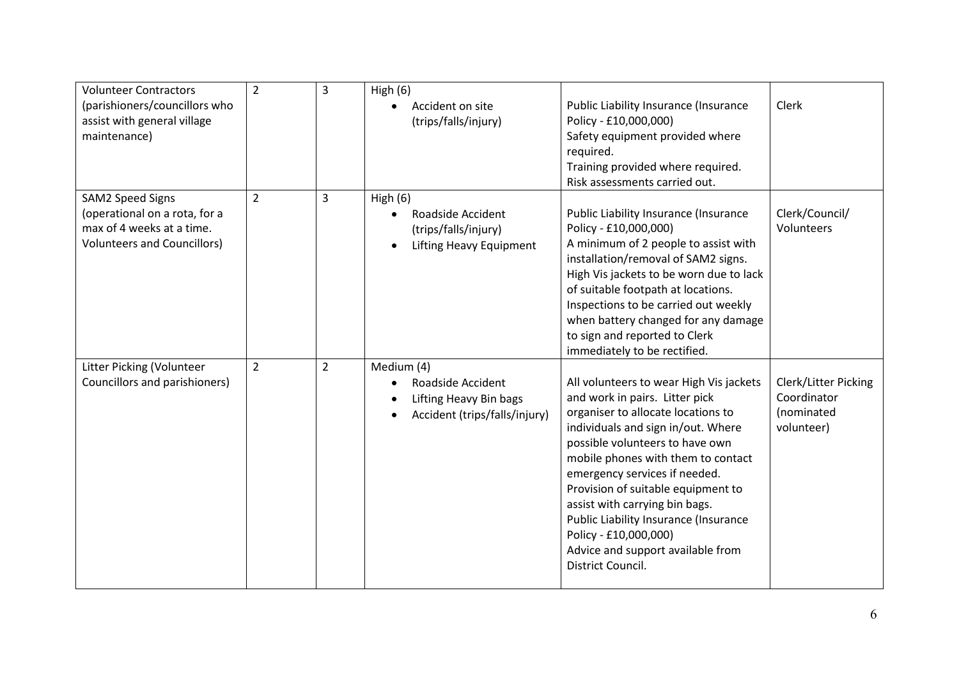| <b>Volunteer Contractors</b>       | $\overline{2}$ | $\overline{3}$ | High $(6)$                           |                                         |                      |
|------------------------------------|----------------|----------------|--------------------------------------|-----------------------------------------|----------------------|
| (parishioners/councillors who      |                |                | Accident on site                     | Public Liability Insurance (Insurance   | Clerk                |
| assist with general village        |                |                | (trips/falls/injury)                 | Policy - £10,000,000)                   |                      |
| maintenance)                       |                |                |                                      | Safety equipment provided where         |                      |
|                                    |                |                |                                      | required.                               |                      |
|                                    |                |                |                                      | Training provided where required.       |                      |
|                                    |                |                |                                      | Risk assessments carried out.           |                      |
| <b>SAM2 Speed Signs</b>            | $\overline{2}$ | 3              | High $(6)$                           |                                         |                      |
| (operational on a rota, for a      |                |                | Roadside Accident                    | Public Liability Insurance (Insurance   | Clerk/Council/       |
| max of 4 weeks at a time.          |                |                | (trips/falls/injury)                 | Policy - £10,000,000)                   | Volunteers           |
| <b>Volunteers and Councillors)</b> |                |                |                                      | A minimum of 2 people to assist with    |                      |
|                                    |                |                | Lifting Heavy Equipment<br>$\bullet$ | installation/removal of SAM2 signs.     |                      |
|                                    |                |                |                                      |                                         |                      |
|                                    |                |                |                                      | High Vis jackets to be worn due to lack |                      |
|                                    |                |                |                                      | of suitable footpath at locations.      |                      |
|                                    |                |                |                                      | Inspections to be carried out weekly    |                      |
|                                    |                |                |                                      | when battery changed for any damage     |                      |
|                                    |                |                |                                      | to sign and reported to Clerk           |                      |
|                                    |                |                |                                      | immediately to be rectified.            |                      |
| Litter Picking (Volunteer          | $\overline{2}$ | $\overline{2}$ | Medium (4)                           |                                         |                      |
| Councillors and parishioners)      |                |                | Roadside Accident<br>٠               | All volunteers to wear High Vis jackets | Clerk/Litter Picking |
|                                    |                |                | Lifting Heavy Bin bags               | and work in pairs. Litter pick          | Coordinator          |
|                                    |                |                | Accident (trips/falls/injury)        | organiser to allocate locations to      | (nominated           |
|                                    |                |                |                                      | individuals and sign in/out. Where      | volunteer)           |
|                                    |                |                |                                      | possible volunteers to have own         |                      |
|                                    |                |                |                                      | mobile phones with them to contact      |                      |
|                                    |                |                |                                      | emergency services if needed.           |                      |
|                                    |                |                |                                      | Provision of suitable equipment to      |                      |
|                                    |                |                |                                      |                                         |                      |
|                                    |                |                |                                      | assist with carrying bin bags.          |                      |
|                                    |                |                |                                      | Public Liability Insurance (Insurance   |                      |
|                                    |                |                |                                      | Policy - £10,000,000)                   |                      |
|                                    |                |                |                                      | Advice and support available from       |                      |
|                                    |                |                |                                      | District Council.                       |                      |
|                                    |                |                |                                      |                                         |                      |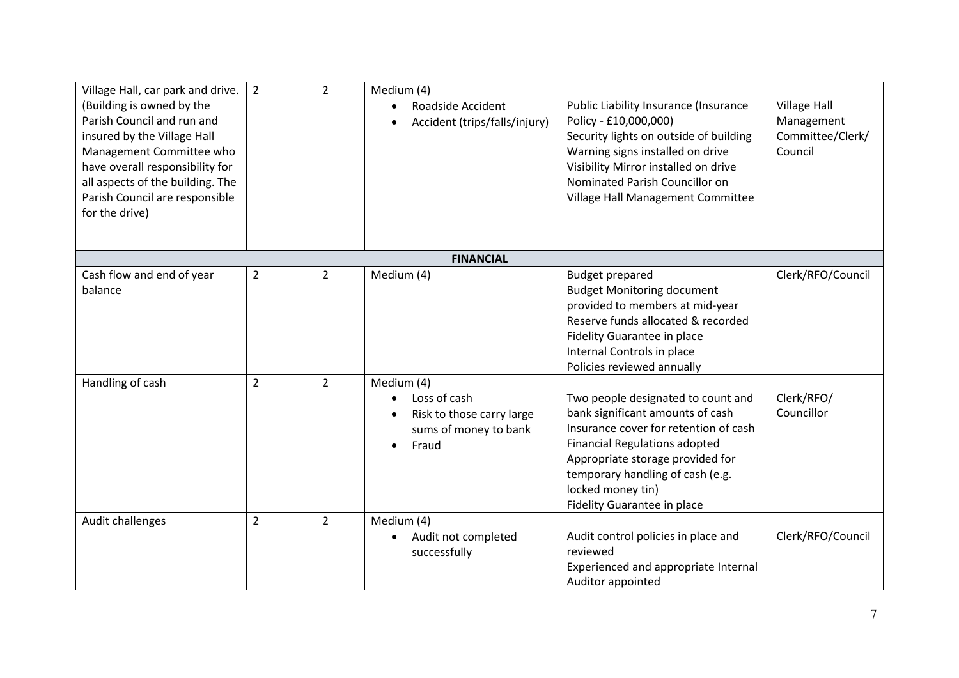| Village Hall, car park and drive.<br>(Building is owned by the<br>Parish Council and run and<br>insured by the Village Hall<br>Management Committee who<br>have overall responsibility for<br>all aspects of the building. The<br>Parish Council are responsible<br>for the drive) | $\overline{2}$ | $\overline{2}$ | Medium (4)<br>Roadside Accident<br>Accident (trips/falls/injury)                                       | Public Liability Insurance (Insurance<br>Policy - £10,000,000)<br>Security lights on outside of building<br>Warning signs installed on drive<br>Visibility Mirror installed on drive<br>Nominated Parish Councillor on<br>Village Hall Management Committee                         | <b>Village Hall</b><br>Management<br>Committee/Clerk/<br>Council |
|------------------------------------------------------------------------------------------------------------------------------------------------------------------------------------------------------------------------------------------------------------------------------------|----------------|----------------|--------------------------------------------------------------------------------------------------------|-------------------------------------------------------------------------------------------------------------------------------------------------------------------------------------------------------------------------------------------------------------------------------------|------------------------------------------------------------------|
|                                                                                                                                                                                                                                                                                    |                |                | <b>FINANCIAL</b>                                                                                       |                                                                                                                                                                                                                                                                                     |                                                                  |
| Cash flow and end of year<br>balance                                                                                                                                                                                                                                               | $\overline{2}$ | $\overline{2}$ | Medium (4)                                                                                             | <b>Budget prepared</b><br><b>Budget Monitoring document</b><br>provided to members at mid-year<br>Reserve funds allocated & recorded<br>Fidelity Guarantee in place<br>Internal Controls in place<br>Policies reviewed annually                                                     | Clerk/RFO/Council                                                |
| Handling of cash                                                                                                                                                                                                                                                                   | $\overline{2}$ | $\overline{2}$ | Medium (4)<br>Loss of cash<br>$\bullet$<br>Risk to those carry large<br>sums of money to bank<br>Fraud | Two people designated to count and<br>bank significant amounts of cash<br>Insurance cover for retention of cash<br><b>Financial Regulations adopted</b><br>Appropriate storage provided for<br>temporary handling of cash (e.g.<br>locked money tin)<br>Fidelity Guarantee in place | Clerk/RFO/<br>Councillor                                         |
| Audit challenges                                                                                                                                                                                                                                                                   | $\overline{2}$ | $\overline{2}$ | Medium (4)<br>Audit not completed<br>successfully                                                      | Audit control policies in place and<br>reviewed<br>Experienced and appropriate Internal<br>Auditor appointed                                                                                                                                                                        | Clerk/RFO/Council                                                |